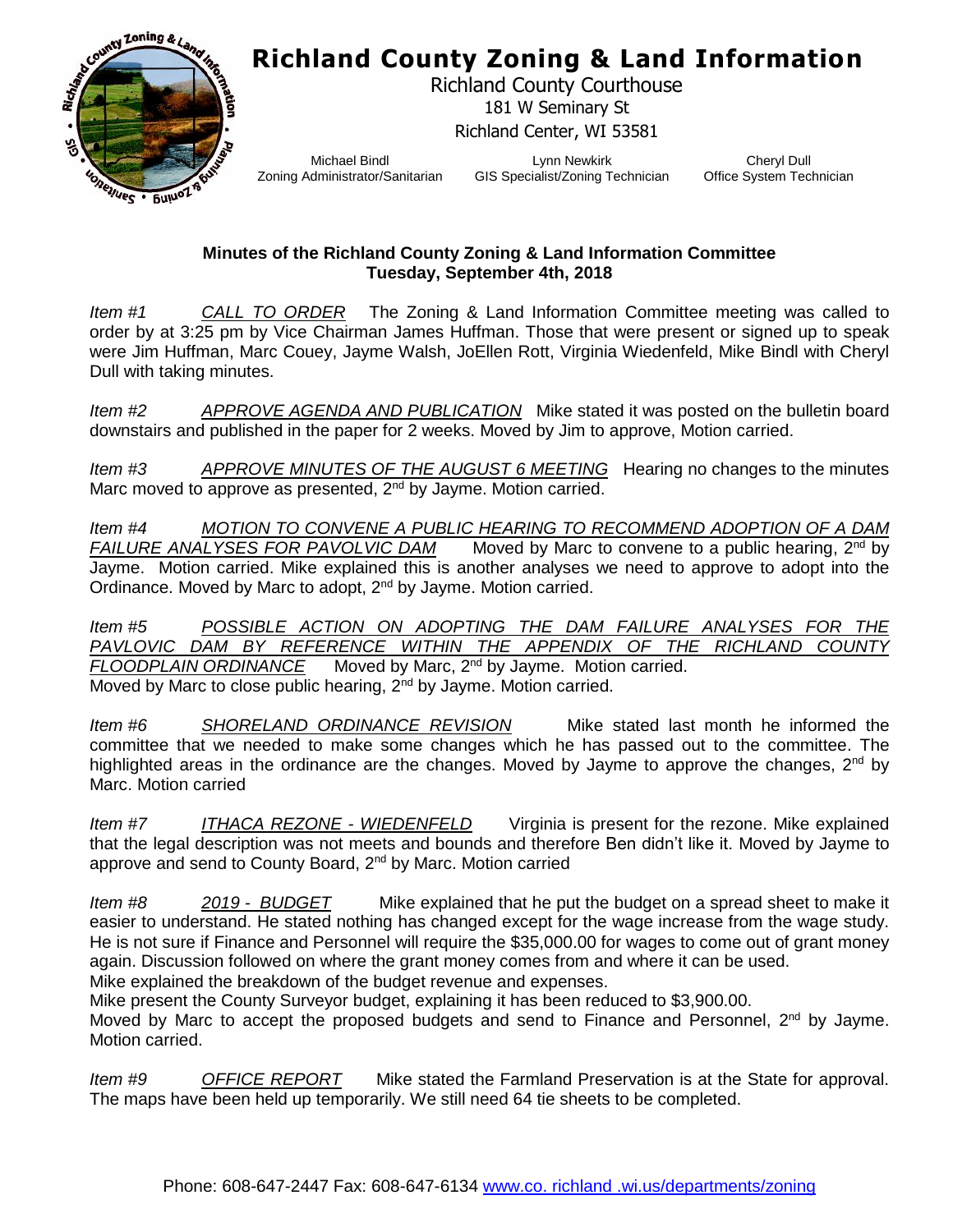## **Richland County Zoning & Land Information**



Richland County Courthouse 181 W Seminary St Richland Center, WI 53581

Michael Bindl Zoning Administrator/Sanitarian

Lynn Newkirk GIS Specialist/Zoning Technician

Cheryl Dull Office System Technician

## **Minutes of the Richland County Zoning & Land Information Committee Tuesday, September 4th, 2018**

*Item #1 CALL TO ORDER* The Zoning & Land Information Committee meeting was called to order by at 3:25 pm by Vice Chairman James Huffman. Those that were present or signed up to speak were Jim Huffman, Marc Couey, Jayme Walsh, JoEllen Rott, Virginia Wiedenfeld, Mike Bindl with Cheryl Dull with taking minutes.

*Item #2 APPROVE AGENDA AND PUBLICATION* Mike stated it was posted on the bulletin board downstairs and published in the paper for 2 weeks. Moved by Jim to approve, Motion carried.

*Item #3 APPROVE MINUTES OF THE AUGUST 6 MEETING* Hearing no changes to the minutes Marc moved to approve as presented,  $2^{nd}$  by Jayme. Motion carried.

*Item #4 MOTION TO CONVENE A PUBLIC HEARING TO RECOMMEND ADOPTION OF A DAM FAILURE ANALYSES FOR PAVOLVIC DAM* Moved by Marc to convene to a public hearing, 2<sup>nd</sup> by FAILURE ANALYSES FOR PAVOLVIC DAM Moved by Marc to convene to a public hearing, 2<sup>nd</sup> by Jayme. Motion carried. Mike explained this is another analyses we need to approve to adopt into the Ordinance. Moved by Marc to adopt, 2<sup>nd</sup> by Jayme. Motion carried.

*Item #5 POSSIBLE ACTION ON ADOPTING THE DAM FAILURE ANALYSES FOR THE PAVLOVIC DAM BY REFERENCE WITHIN THE APPENDIX OF THE RICHLAND COUNTY*<br>FLOODPLAIN ORDINANCE Moved by Marc, 2<sup>nd</sup> by Jayme. Motion carried. *FLOODBAIN Moved by Marc, 2<sup>nd</sup> by Jayme. Motion carried.* Moved by Marc to close public hearing, 2<sup>nd</sup> by Jayme. Motion carried.

*Item #6 SHORELAND ORDINANCE REVISION* Mike stated last month he informed the committee that we needed to make some changes which he has passed out to the committee. The highlighted areas in the ordinance are the changes. Moved by Jayme to approve the changes,  $2^{nd}$  by Marc. Motion carried

*Item #7 ITHACA REZONE - WIEDENFELD* Virginia is present for the rezone. Mike explained that the legal description was not meets and bounds and therefore Ben didn't like it. Moved by Jayme to approve and send to County Board, 2<sup>nd</sup> by Marc. Motion carried

*Item #8 2019 - BUDGET* Mike explained that he put the budget on a spread sheet to make it easier to understand. He stated nothing has changed except for the wage increase from the wage study. He is not sure if Finance and Personnel will require the \$35,000.00 for wages to come out of grant money again. Discussion followed on where the grant money comes from and where it can be used. Mike explained the breakdown of the budget revenue and expenses.

Mike present the County Surveyor budget, explaining it has been reduced to \$3,900.00.

Moved by Marc to accept the proposed budgets and send to Finance and Personnel,  $2^{nd}$  by Jayme. Motion carried.

*Item #9 OFFICE REPORT* Mike stated the Farmland Preservation is at the State for approval. The maps have been held up temporarily. We still need 64 tie sheets to be completed.